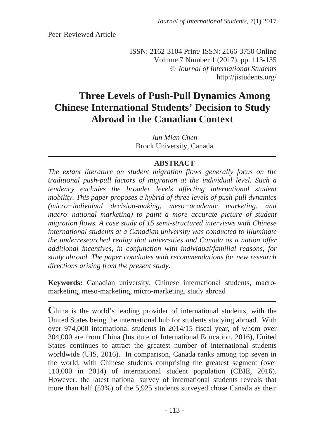Peer-Reviewed Article

ISSN: 2162-3104 Print/ ISSN: 2166-3750 Online Volume 7 Number 1 (2017), pp. 113-135 © *Journal of International Students* http://jistudents.org/

# **Three Levels of Push-Pull Dynamics Among Chinese International Students' Decision to Study Abroad in the Canadian Context**

*Jun Mian Chen*  Brock University, Canada

### **ABSTRACT**

*The extant literature on student migration flows generally focus on the traditional push-pull factors of migration at the individual level. Such a tendency excludes the broader levels affecting international student mobility. This paper proposes a hybrid of three levels of push-pull dynamics (microíindividual decision-making, mesoíacademic marketing, and*  macro-national marketing) to paint a more accurate picture of student *migration flows. A case study of 15 semi-structured interviews with Chinese international students at a Canadian university was conducted to illuminate the underresearched reality that universities and Canada as a nation offer additional incentives, in conjunction with individual/familial reasons, for study abroad. The paper concludes with recommendations for new research directions arising from the present study.* 

**Keywords:** Canadian university, Chinese international students, macromarketing, meso-marketing, micro-marketing, study abroad

**C**hina is the world's leading provider of international students, with the United States being the international hub for students studying abroad. With over 974,000 international students in 2014/15 fiscal year, of whom over 304,000 are from China (Institute of International Education, 2016), United States continues to attract the greatest number of international students worldwide (UIS, 2016). In comparison, Canada ranks among top seven in the world, with Chinese students comprising the greatest segment (over 110,000 in 2014) of international student population (CBIE, 2016). However, the latest national survey of international students reveals that more than half (53%) of the 5,925 students surveyed chose Canada as their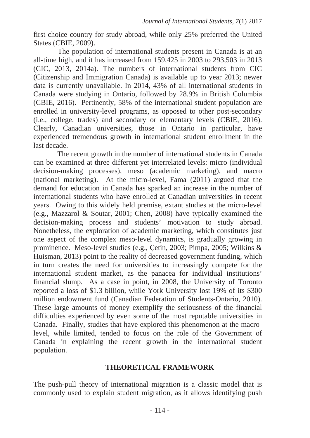first-choice country for study abroad, while only 25% preferred the United States (CBIE, 2009).

The population of international students present in Canada is at an all-time high, and it has increased from  $159.425$  in 2003 to 293,503 in 2013 (CIC, 2013, 2014a). The numbers of international students from CIC (Citizenship and Immigration Canada) is available up to year 2013; newer data is currently unavailable. In 2014, 43% of all international students in Canada were studying in Ontario, followed by 28.9% in British Columbia (CBIE, 2016). Pertinently, 58% of the international student population are enrolled in university-level programs, as opposed to other post-secondary (i.e., college, trades) and secondary or elementary levels (CBIE, 2016). Clearly, Canadian universities, those in Ontario in particular, have experienced tremendous growth in international student enrollment in the last decade.

The recent growth in the number of international students in Canada can be examined at three different yet interrelated levels: micro (individual decision-making processes), meso (academic marketing), and macro (national marketing). At the micro-level, Fama (2011) argued that the demand for education in Canada has sparked an increase in the number of international students who have enrolled at Canadian universities in recent years. Owing to this widely held premise, extant studies at the micro-level (e.g., Mazzarol & Soutar, 2001; Chen, 2008) have typically examined the decision-making process and students' motivation to study abroad. Nonetheless, the exploration of academic marketing, which constitutes just one aspect of the complex meso-level dynamics, is gradually growing in prominence. Meso-level studies (e.g., Cetin, 2003; Pimpa, 2005; Wilkins & Huisman, 2013) point to the reality of decreased government funding, which in turn creates the need for universities to increasingly compete for the international student market, as the panacea for individual institutions' financial slump. As a case in point, in 2008, the University of Toronto reported a loss of \$1.3 billion, while York University lost 19% of its \$300 million endowment fund (Canadian Federation of Students-Ontario, 2010). These large amounts of money exemplify the seriousness of the financial difficulties experienced by even some of the most reputable universities in Canada. Finally, studies that have explored this phenomenon at the macrolevel, while limited, tended to focus on the role of the Government of Canada in explaining the recent growth in the international student population.

### **THEORETICAL FRAMEWORK**

The push-pull theory of international migration is a classic model that is commonly used to explain student migration, as it allows identifying push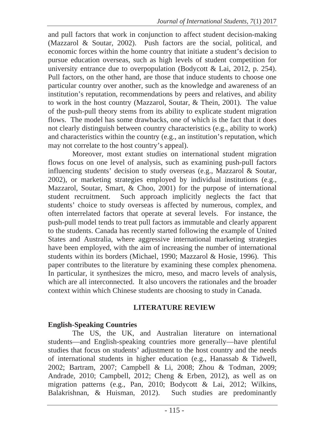and pull factors that work in conjunction to affect student decision-making (Mazzarol & Soutar, 2002). Push factors are the social, political, and economic forces within the home country that initiate a student's decision to pursue education overseas, such as high levels of student competition for university entrance due to overpopulation (Bodycott & Lai, 2012, p. 254). Pull factors, on the other hand, are those that induce students to choose one particular country over another, such as the knowledge and awareness of an institution's reputation, recommendations by peers and relatives, and ability to work in the host country (Mazzarol, Soutar, & Thein, 2001). The value of the push-pull theory stems from its ability to explicate student migration flows. The model has some drawbacks, one of which is the fact that it does not clearly distinguish between country characteristics (e.g., ability to work) and characteristics within the country (e.g., an institution's reputation, which may not correlate to the host country's appeal).

Moreover, most extant studies on international student migration flows focus on one level of analysis, such as examining push-pull factors influencing students' decision to study overseas (e.g., Mazzarol & Soutar, 2002), or marketing strategies employed by individual institutions (e.g., Mazzarol, Soutar, Smart, & Choo, 2001) for the purpose of international student recruitment. Such approach implicitly neglects the fact that students' choice to study overseas is affected by numerous, complex, and often interrelated factors that operate at several levels. For instance, the push-pull model tends to treat pull factors as immutable and clearly apparent to the students. Canada has recently started following the example of United States and Australia, where aggressive international marketing strategies have been employed, with the aim of increasing the number of international students within its borders (Michael, 1990; Mazzarol & Hosie, 1996). This paper contributes to the literature by examining these complex phenomena. In particular, it synthesizes the micro, meso, and macro levels of analysis, which are all interconnected. It also uncovers the rationales and the broader context within which Chinese students are choosing to study in Canada.

### **LITERATURE REVIEW**

### **English-Speaking Countries**

The US, the UK, and Australian literature on international students—and English-speaking countries more generally—have plentiful studies that focus on students' adjustment to the host country and the needs of international students in higher education (e.g., Hanassab & Tidwell, 2002; Bartram, 2007; Campbell & Li, 2008; Zhou & Todman, 2009; Andrade, 2010; Campbell, 2012; Cheng & Erben, 2012), as well as on migration patterns (e.g., Pan, 2010; Bodycott & Lai, 2012; Wilkins, Balakrishnan, & Huisman, 2012). Such studies are predominantly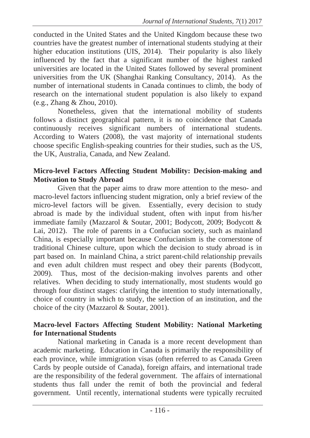conducted in the United States and the United Kingdom because these two countries have the greatest number of international students studying at their higher education institutions (UIS, 2014). Their popularity is also likely influenced by the fact that a significant number of the highest ranked universities are located in the United States followed by several prominent universities from the UK (Shanghai Ranking Consultancy, 2014). As the number of international students in Canada continues to climb, the body of research on the international student population is also likely to expand (e.g., Zhang & Zhou, 2010).

Nonetheless, given that the international mobility of students follows a distinct geographical pattern, it is no coincidence that Canada continuously receives significant numbers of international students. According to Waters (2008), the vast majority of international students choose specific English-speaking countries for their studies, such as the US, the UK, Australia, Canada, and New Zealand.

### **Micro-level Factors Affecting Student Mobility: Decision-making and Motivation to Study Abroad**

Given that the paper aims to draw more attention to the meso- and macro-level factors influencing student migration, only a brief review of the micro-level factors will be given. Essentially, every decision to study abroad is made by the individual student, often with input from his/her immediate family (Mazzarol & Soutar, 2001; Bodycott, 2009; Bodycott & Lai, 2012). The role of parents in a Confucian society, such as mainland China, is especially important because Confucianism is the cornerstone of traditional Chinese culture, upon which the decision to study abroad is in part based on. In mainland China, a strict parent-child relationship prevails and even adult children must respect and obey their parents (Bodycott, 2009). Thus, most of the decision-making involves parents and other relatives. When deciding to study internationally, most students would go through four distinct stages: clarifying the intention to study internationally, choice of country in which to study, the selection of an institution, and the choice of the city (Mazzarol & Soutar, 2001).

### **Macro-level Factors Affecting Student Mobility: National Marketing for International Students**

National marketing in Canada is a more recent development than academic marketing. Education in Canada is primarily the responsibility of each province, while immigration visas (often referred to as Canada Green Cards by people outside of Canada), foreign affairs, and international trade are the responsibility of the federal government. The affairs of international students thus fall under the remit of both the provincial and federal government. Until recently, international students were typically recruited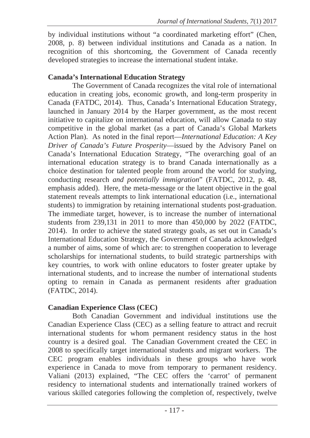by individual institutions without "a coordinated marketing effort" (Chen, 2008, p. 8) between individual institutions and Canada as a nation. In recognition of this shortcoming, the Government of Canada recently developed strategies to increase the international student intake.

### **Canada's International Education Strategy**

The Government of Canada recognizes the vital role of international education in creating jobs, economic growth, and long-term prosperity in Canada (FATDC, 2014). Thus, Canada's International Education Strategy, launched in January 2014 by the Harper government, as the most recent initiative to capitalize on international education, will allow Canada to stay competitive in the global market (as a part of Canada's Global Markets Action Plan). As noted in the final report—*International Education: A Key Driver of Canada's Future Prosperity*—issued by the Advisory Panel on Canada's International Education Strategy, "The overarching goal of an international education strategy is to brand Canada internationally as a choice destination for talented people from around the world for studying, conducting research *and potentially immigration*" (FATDC, 2012, p. 48, emphasis added). Here, the meta-message or the latent objective in the goal statement reveals attempts to link international education (i.e., international students) to immigration by retaining international students post-graduation. The immediate target, however, is to increase the number of international students from 239,131 in 2011 to more than 450,000 by 2022 (FATDC, 2014). In order to achieve the stated strategy goals, as set out in Canada's International Education Strategy, the Government of Canada acknowledged a number of aims, some of which are: to strengthen cooperation to leverage scholarships for international students, to build strategic partnerships with key countries, to work with online educators to foster greater uptake by international students, and to increase the number of international students opting to remain in Canada as permanent residents after graduation (FATDC, 2014).

### **Canadian Experience Class (CEC)**

Both Canadian Government and individual institutions use the Canadian Experience Class (CEC) as a selling feature to attract and recruit international students for whom permanent residency status in the host country is a desired goal. The Canadian Government created the CEC in 2008 to specifically target international students and migrant workers. The CEC program enables individuals in these groups who have work experience in Canada to move from temporary to permanent residency. Valiani (2013) explained, "The CEC offers the 'carrot' of permanent residency to international students and internationally trained workers of various skilled categories following the completion of, respectively, twelve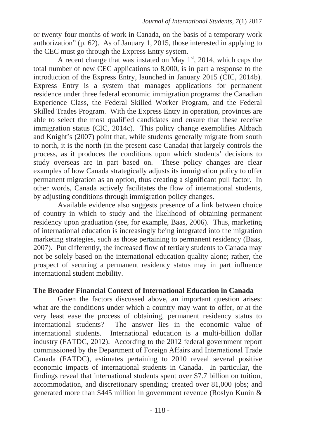or twenty-four months of work in Canada, on the basis of a temporary work authorization" (p. 62). As of January 1, 2015, those interested in applying to the CEC must go through the Express Entry system.

A recent change that was instated on May  $1<sup>st</sup>$ , 2014, which caps the total number of new CEC applications to 8,000, is in part a response to the introduction of the Express Entry, launched in January 2015 (CIC, 2014b). Express Entry is a system that manages applications for permanent residence under three federal economic immigration programs: the Canadian Experience Class, the Federal Skilled Worker Program, and the Federal Skilled Trades Program. With the Express Entry in operation, provinces are able to select the most qualified candidates and ensure that these receive immigration status (CIC, 2014c). This policy change exemplifies Altbach and Knight's (2007) point that, while students generally migrate from south to north, it is the north (in the present case Canada) that largely controls the process, as it produces the conditions upon which students' decisions to study overseas are in part based on. These policy changes are clear examples of how Canada strategically adjusts its immigration policy to offer permanent migration as an option, thus creating a significant pull factor. In other words, Canada actively facilitates the flow of international students, by adjusting conditions through immigration policy changes.

Available evidence also suggests presence of a link between choice of country in which to study and the likelihood of obtaining permanent residency upon graduation (see, for example, Baas, 2006). Thus, marketing of international education is increasingly being integrated into the migration marketing strategies, such as those pertaining to permanent residency (Baas, 2007). Put differently, the increased flow of tertiary students to Canada may not be solely based on the international education quality alone; rather, the prospect of securing a permanent residency status may in part influence international student mobility.

### **The Broader Financial Context of International Education in Canada**

Given the factors discussed above, an important question arises: what are the conditions under which a country may want to offer, or at the very least ease the process of obtaining, permanent residency status to international students? The answer lies in the economic value of international students. International education is a multi-billion dollar industry (FATDC, 2012). According to the 2012 federal government report commissioned by the Department of Foreign Affairs and International Trade Canada (FATDC), estimates pertaining to 2010 reveal several positive economic impacts of international students in Canada. In particular, the findings reveal that international students spent over \$7.7 billion on tuition, accommodation, and discretionary spending; created over 81,000 jobs; and generated more than \$445 million in government revenue (Roslyn Kunin &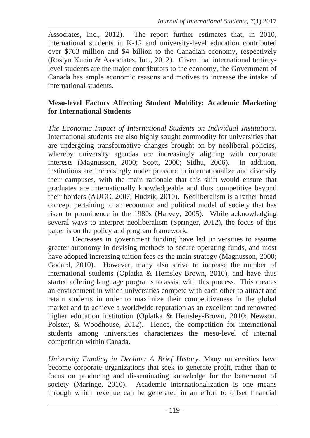Associates, Inc., 2012). The report further estimates that, in 2010, international students in K-12 and university-level education contributed over \$763 million and \$4 billion to the Canadian economy, respectively (Roslyn Kunin & Associates, Inc., 2012). Given that international tertiarylevel students are the major contributors to the economy, the Government of Canada has ample economic reasons and motives to increase the intake of international students.

### **Meso-level Factors Affecting Student Mobility: Academic Marketing for International Students**

*The Economic Impact of International Students on Individual Institutions.*  International students are also highly sought commodity for universities that are undergoing transformative changes brought on by neoliberal policies, whereby university agendas are increasingly aligning with corporate interests (Magnusson, 2000; Scott, 2000; Sidhu, 2006). In addition, institutions are increasingly under pressure to internationalize and diversify their campuses, with the main rationale that this shift would ensure that graduates are internationally knowledgeable and thus competitive beyond their borders (AUCC, 2007; Hudzik, 2010). Neoliberalism is a rather broad concept pertaining to an economic and political model of society that has risen to prominence in the 1980s (Harvey, 2005). While acknowledging several ways to interpret neoliberalism (Springer, 2012), the focus of this paper is on the policy and program framework.

Decreases in government funding have led universities to assume greater autonomy in devising methods to secure operating funds, and most have adopted increasing tuition fees as the main strategy (Magnusson, 2000; Godard, 2010). However, many also strive to increase the number of international students (Oplatka & Hemsley-Brown, 2010), and have thus started offering language programs to assist with this process. This creates an environment in which universities compete with each other to attract and retain students in order to maximize their competitiveness in the global market and to achieve a worldwide reputation as an excellent and renowned higher education institution (Oplatka & Hemsley-Brown, 2010; Newson, Polster, & Woodhouse, 2012). Hence, the competition for international students among universities characterizes the meso-level of internal competition within Canada.

*University Funding in Decline: A Brief History.* Many universities have become corporate organizations that seek to generate profit, rather than to focus on producing and disseminating knowledge for the betterment of society (Maringe, 2010). Academic internationalization is one means through which revenue can be generated in an effort to offset financial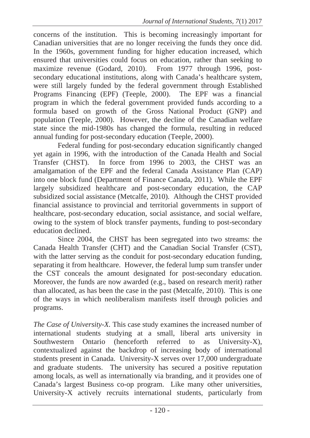concerns of the institution. This is becoming increasingly important for Canadian universities that are no longer receiving the funds they once did. In the 1960s, government funding for higher education increased, which ensured that universities could focus on education, rather than seeking to maximize revenue (Godard, 2010). From 1977 through 1996, postsecondary educational institutions, along with Canada's healthcare system, were still largely funded by the federal government through Established Programs Financing (EPF) (Teeple, 2000). The EPF was a financial program in which the federal government provided funds according to a formula based on growth of the Gross National Product (GNP) and population (Teeple, 2000). However, the decline of the Canadian welfare state since the mid-1980s has changed the formula, resulting in reduced annual funding for post-secondary education (Teeple, 2000).

Federal funding for post-secondary education significantly changed yet again in 1996, with the introduction of the Canada Health and Social Transfer (CHST). In force from 1996 to 2003, the CHST was an amalgamation of the EPF and the federal Canada Assistance Plan (CAP) into one block fund (Department of Finance Canada, 2011). While the EPF largely subsidized healthcare and post-secondary education, the CAP subsidized social assistance (Metcalfe, 2010). Although the CHST provided financial assistance to provincial and territorial governments in support of healthcare, post-secondary education, social assistance, and social welfare, owing to the system of block transfer payments, funding to post-secondary education declined.

Since 2004, the CHST has been segregated into two streams: the Canada Health Transfer (CHT) and the Canadian Social Transfer (CST), with the latter serving as the conduit for post-secondary education funding, separating it from healthcare. However, the federal lump sum transfer under the CST conceals the amount designated for post-secondary education. Moreover, the funds are now awarded (e.g., based on research merit) rather than allocated, as has been the case in the past (Metcalfe, 2010). This is one of the ways in which neoliberalism manifests itself through policies and programs.

*The Case of University-X.* This case study examines the increased number of international students studying at a small, liberal arts university in Southwestern Ontario (henceforth referred to as University-X), contextualized against the backdrop of increasing body of international students present in Canada. University-X serves over 17,000 undergraduate and graduate students. The university has secured a positive reputation among locals, as well as internationally via branding, and it provides one of Canada's largest Business co-op program. Like many other universities, University-X actively recruits international students, particularly from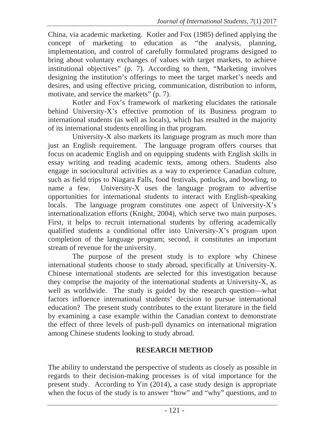China, via academic marketing. Kotler and Fox (1985) defined applying the concept of marketing to education as *"*the analysis, planning, implementation, and control of carefully formulated programs designed to bring about voluntary exchanges of values with target markets, to achieve institutional objectives" (p. 7). According to them, "Marketing involves designing the institution's offerings to meet the target market's needs and desires, and using effective pricing, communication, distribution to inform, motivate, and service the markets" (p. 7).

Kotler and Fox's framework of marketing elucidates the rationale behind University-X's effective promotion of its Business program to international students (as well as locals), which has resulted in the majority of its international students enrolling in that program.

University-X also markets its language program as much more than just an English requirement. The language program offers courses that focus on academic English and on equipping students with English skills in essay writing and reading academic texts, among others. Students also engage in sociocultural activities as a way to experience Canadian culture, such as field trips to Niagara Falls, food festivals, potlucks, and bowling, to name a few. University-X uses the language program to advertise opportunities for international students to interact with English-speaking locals. The language program constitutes one aspect of University-X's internationalization efforts (Knight, 2004), which serve two main purposes. First, it helps to recruit international students by offering academically qualified students a conditional offer into University-X's program upon completion of the language program; second, it constitutes an important stream of revenue for the university.

The purpose of the present study is to explore why Chinese international students choose to study abroad, specifically at University-X. Chinese international students are selected for this investigation because they comprise the majority of the international students at University-X, as well as worldwide. The study is guided by the research question—what factors influence international students' decision to pursue international education? The present study contributes to the extant literature in the field by examining a case example within the Canadian context to demonstrate the effect of three levels of push-pull dynamics on international migration among Chinese students looking to study abroad.

### **RESEARCH METHOD**

The ability to understand the perspective of students as closely as possible in regards to their decision-making processes is of vital importance for the present study. According to Yin (2014), a case study design is appropriate when the focus of the study is to answer "how" and "why" questions, and to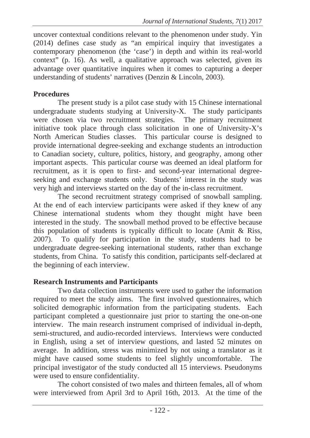uncover contextual conditions relevant to the phenomenon under study. Yin (2014) defines case study as "an empirical inquiry that investigates a contemporary phenomenon (the 'case') in depth and within its real-world context<sup> $\ddot{v}$ </sup> (p. 16). As well, a qualitative approach was selected, given its advantage over quantitative inquires when it comes to capturing a deeper understanding of students' narratives (Denzin & Lincoln, 2003).

### **Procedures**

The present study is a pilot case study with 15 Chinese international undergraduate students studying at University-X. The study participants were chosen via two recruitment strategies. The primary recruitment initiative took place through class solicitation in one of University-X's North American Studies classes. This particular course is designed to provide international degree-seeking and exchange students an introduction to Canadian society, culture, politics, history, and geography, among other important aspects. This particular course was deemed an ideal platform for recruitment, as it is open to first- and second-year international degreeseeking and exchange students only. Students' interest in the study was very high and interviews started on the day of the in-class recruitment.

The second recruitment strategy comprised of snowball sampling. At the end of each interview participants were asked if they knew of any Chinese international students whom they thought might have been interested in the study. The snowball method proved to be effective because this population of students is typically difficult to locate (Amit & Riss, 2007). To qualify for participation in the study, students had to be undergraduate degree-seeking international students, rather than exchange students, from China. To satisfy this condition, participants self-declared at the beginning of each interview.

### **Research Instruments and Participants**

Two data collection instruments were used to gather the information required to meet the study aims. The first involved questionnaires, which solicited demographic information from the participating students. Each participant completed a questionnaire just prior to starting the one-on-one interview. The main research instrument comprised of individual in-depth, semi-structured, and audio-recorded interviews. Interviews were conducted in English, using a set of interview questions, and lasted 52 minutes on average. In addition, stress was minimized by not using a translator as it might have caused some students to feel slightly uncomfortable. The principal investigator of the study conducted all 15 interviews. Pseudonyms were used to ensure confidentiality.

The cohort consisted of two males and thirteen females, all of whom were interviewed from April 3rd to April 16th, 2013. At the time of the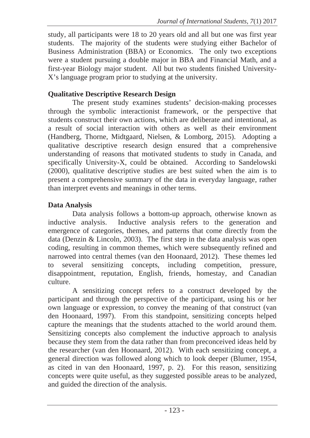study, all participants were 18 to 20 years old and all but one was first year students. The majority of the students were studying either Bachelor of Business Administration (BBA) or Economics. The only two exceptions were a student pursuing a double major in BBA and Financial Math, and a first-year Biology major student. All but two students finished University-X's language program prior to studying at the university.

### **Qualitative Descriptive Research Design**

The present study examines students' decision-making processes through the symbolic interactionist framework, or the perspective that students construct their own actions, which are deliberate and intentional, as a result of social interaction with others as well as their environment (Handberg, Thorne, Midtgaard, Nielsen, & Lomborg, 2015). Adopting a qualitative descriptive research design ensured that a comprehensive understanding of reasons that motivated students to study in Canada, and specifically University-X, could be obtained. According to Sandelowski (2000), qualitative descriptive studies are best suited when the aim is to present a comprehensive summary of the data in everyday language, rather than interpret events and meanings in other terms.

## **Data Analysis**

Data analysis follows a bottom-up approach, otherwise known as inductive analysis. Inductive analysis refers to the generation and emergence of categories, themes, and patterns that come directly from the data (Denzin & Lincoln, 2003). The first step in the data analysis was open coding, resulting in common themes, which were subsequently refined and narrowed into central themes (van den Hoonaard, 2012). These themes led to several sensitizing concepts, including competition, pressure, disappointment, reputation, English, friends, homestay, and Canadian culture.

A sensitizing concept refers to a construct developed by the participant and through the perspective of the participant, using his or her own language or expression, to convey the meaning of that construct (van den Hoonaard, 1997). From this standpoint, sensitizing concepts helped capture the meanings that the students attached to the world around them. Sensitizing concepts also complement the inductive approach to analysis because they stem from the data rather than from preconceived ideas held by the researcher (van den Hoonaard, 2012). With each sensitizing concept, a general direction was followed along which to look deeper (Blumer, 1954, as cited in van den Hoonaard, 1997, p. 2). For this reason, sensitizing concepts were quite useful, as they suggested possible areas to be analyzed, and guided the direction of the analysis.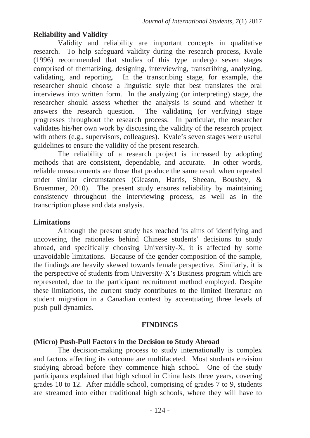### **Reliability and Validity**

Validity and reliability are important concepts in qualitative research. To help safeguard validity during the research process, Kvale (1996) recommended that studies of this type undergo seven stages comprised of thematizing, designing, interviewing, transcribing, analyzing, validating, and reporting. In the transcribing stage, for example, the researcher should choose a linguistic style that best translates the oral interviews into written form. In the analyzing (or interpreting) stage, the researcher should assess whether the analysis is sound and whether it answers the research question. The validating (or verifying) stage progresses throughout the research process. In particular, the researcher validates his/her own work by discussing the validity of the research project with others (e.g., supervisors, colleagues). Kvale's seven stages were useful guidelines to ensure the validity of the present research.

The reliability of a research project is increased by adopting methods that are consistent, dependable, and accurate. In other words, reliable measurements are those that produce the same result when repeated under similar circumstances (Gleason, Harris, Sheean, Boushey, & Bruemmer, 2010). The present study ensures reliability by maintaining consistency throughout the interviewing process, as well as in the transcription phase and data analysis.

### **Limitations**

Although the present study has reached its aims of identifying and uncovering the rationales behind Chinese students' decisions to study abroad, and specifically choosing University-X, it is affected by some unavoidable limitations. Because of the gender composition of the sample, the findings are heavily skewed towards female perspective. Similarly, it is the perspective of students from University-X's Business program which are represented, due to the participant recruitment method employed. Despite these limitations, the current study contributes to the limited literature on student migration in a Canadian context by accentuating three levels of push-pull dynamics.

### **FINDINGS**

### **(Micro) Push-Pull Factors in the Decision to Study Abroad**

The decision-making process to study internationally is complex and factors affecting its outcome are multifaceted. Most students envision studying abroad before they commence high school. One of the study participants explained that high school in China lasts three years, covering grades 10 to 12. After middle school, comprising of grades 7 to 9, students are streamed into either traditional high schools, where they will have to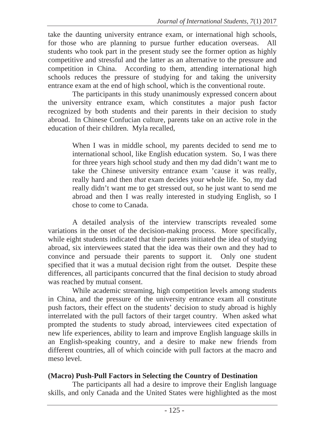take the daunting university entrance exam, or international high schools, for those who are planning to pursue further education overseas. All students who took part in the present study see the former option as highly competitive and stressful and the latter as an alternative to the pressure and competition in China. According to them, attending international high schools reduces the pressure of studying for and taking the university entrance exam at the end of high school, which is the conventional route.

The participants in this study unanimously expressed concern about the university entrance exam, which constitutes a major push factor recognized by both students and their parents in their decision to study abroad. In Chinese Confucian culture, parents take on an active role in the education of their children. Myla recalled,

> When I was in middle school, my parents decided to send me to international school, like English education system. So, I was there for three years high school study and then my dad didn't want me to take the Chinese university entrance exam 'cause it was really, really hard and then *that* exam decides your whole life. So, my dad really didn't want me to get stressed out, so he just want to send me abroad and then I was really interested in studying English, so I chose to come to Canada.

A detailed analysis of the interview transcripts revealed some variations in the onset of the decision-making process. More specifically, while eight students indicated that their parents initiated the idea of studying abroad, six interviewees stated that the idea was their own and they had to convince and persuade their parents to support it. Only one student specified that it was a mutual decision right from the outset. Despite these differences, all participants concurred that the final decision to study abroad was reached by mutual consent.

While academic streaming, high competition levels among students in China, and the pressure of the university entrance exam all constitute push factors, their effect on the students' decision to study abroad is highly interrelated with the pull factors of their target country. When asked what prompted the students to study abroad, interviewees cited expectation of new life experiences, ability to learn and improve English language skills in an English-speaking country, and a desire to make new friends from different countries, all of which coincide with pull factors at the macro and meso level.

### **(Macro) Push-Pull Factors in Selecting the Country of Destination**

The participants all had a desire to improve their English language skills, and only Canada and the United States were highlighted as the most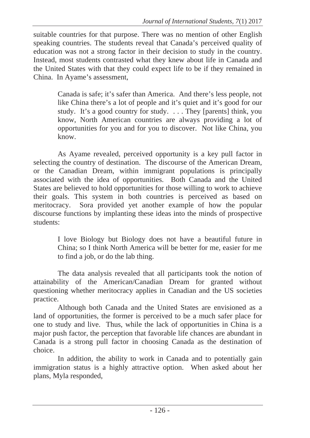suitable countries for that purpose. There was no mention of other English speaking countries. The students reveal that Canada's perceived quality of education was not a strong factor in their decision to study in the country. Instead, most students contrasted what they knew about life in Canada and the United States with that they could expect life to be if they remained in China. In Ayame's assessment,

> Canada is safe; it's safer than America. And there's less people, not like China there's a lot of people and it's quiet and it's good for our study. It's a good country for study. . . . They [parents] think, you know, North American countries are always providing a lot of opportunities for you and for you to discover. Not like China, you know.

As Ayame revealed, perceived opportunity is a key pull factor in selecting the country of destination. The discourse of the American Dream, or the Canadian Dream, within immigrant populations is principally associated with the idea of opportunities. Both Canada and the United States are believed to hold opportunities for those willing to work to achieve their goals. This system in both countries is perceived as based on meritocracy. Sora provided yet another example of how the popular discourse functions by implanting these ideas into the minds of prospective students:

> I love Biology but Biology does not have a beautiful future in China; so I think North America will be better for me, easier for me to find a job, or do the lab thing.

The data analysis revealed that all participants took the notion of attainability of the American/Canadian Dream for granted without questioning whether meritocracy applies in Canadian and the US societies practice.

Although both Canada and the United States are envisioned as a land of opportunities, the former is perceived to be a much safer place for one to study and live. Thus, while the lack of opportunities in China is a major push factor, the perception that favorable life chances are abundant in Canada is a strong pull factor in choosing Canada as the destination of choice.

In addition, the ability to work in Canada and to potentially gain immigration status is a highly attractive option. When asked about her plans, Myla responded,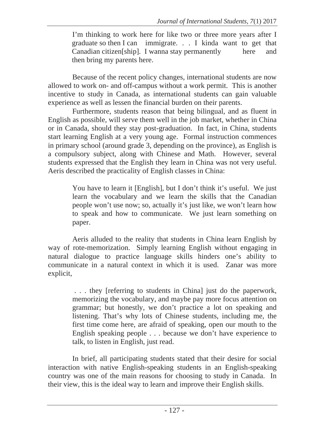I'm thinking to work here for like two or three more years after I graduate so then I can immigrate. . . I kinda want to get that Canadian citizen[ship]. I wanna stay permanently here and then bring my parents here.

Because of the recent policy changes, international students are now allowed to work on- and off-campus without a work permit. This is another incentive to study in Canada, as international students can gain valuable experience as well as lessen the financial burden on their parents.

Furthermore, students reason that being bilingual, and as fluent in English as possible, will serve them well in the job market, whether in China or in Canada, should they stay post-graduation. In fact, in China, students start learning English at a very young age. Formal instruction commences in primary school (around grade 3, depending on the province), as English is a compulsory subject, along with Chinese and Math. However, several students expressed that the English they learn in China was not very useful. Aeris described the practicality of English classes in China:

> You have to learn it [English], but I don't think it's useful. We just learn the vocabulary and we learn the skills that the Canadian people won't use now; so, actually it's just like, we won't learn how to speak and how to communicate. We just learn something on paper.

Aeris alluded to the reality that students in China learn English by way of rote-memorization. Simply learning English without engaging in natural dialogue to practice language skills hinders one's ability to communicate in a natural context in which it is used. Zanar was more explicit,

> . . . they [referring to students in China] just do the paperwork, memorizing the vocabulary, and maybe pay more focus attention on grammar; but honestly, we don't practice a lot on speaking and listening. That's why lots of Chinese students, including me, the first time come here, are afraid of speaking, open our mouth to the English speaking people . . . because we don't have experience to talk, to listen in English, just read.

In brief, all participating students stated that their desire for social interaction with native English-speaking students in an English-speaking country was one of the main reasons for choosing to study in Canada. In their view, this is the ideal way to learn and improve their English skills.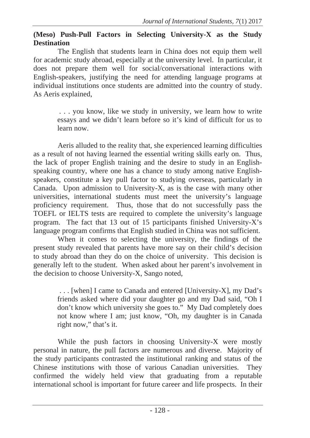### **(Meso) Push-Pull Factors in Selecting University-X as the Study Destination**

The English that students learn in China does not equip them well for academic study abroad, especially at the university level. In particular, it does not prepare them well for social/conversational interactions with English-speakers, justifying the need for attending language programs at individual institutions once students are admitted into the country of study. As Aeris explained,

> . . . you know, like we study in university, we learn how to write essays and we didn't learn before so it's kind of difficult for us to learn now.

Aeris alluded to the reality that, she experienced learning difficulties as a result of not having learned the essential writing skills early on. Thus, the lack of proper English training and the desire to study in an Englishspeaking country, where one has a chance to study among native Englishspeakers, constitute a key pull factor to studying overseas, particularly in Canada. Upon admission to University-X, as is the case with many other universities, international students must meet the university's language proficiency requirement. Thus, those that do not successfully pass the TOEFL or IELTS tests are required to complete the university's language program. The fact that 13 out of 15 participants finished University-X's language program confirms that English studied in China was not sufficient.

When it comes to selecting the university, the findings of the present study revealed that parents have more say on their child's decision to study abroad than they do on the choice of university. This decision is generally left to the student. When asked about her parent's involvement in the decision to choose University-X, Sango noted,

> . . . [when] I came to Canada and entered [University-X], my Dad's friends asked where did your daughter go and my Dad said, "Oh I don't know which university she goes to." My Dad completely does not know where I am; just know, "Oh, my daughter is in Canada right now," that's it.

While the push factors in choosing University-X were mostly personal in nature, the pull factors are numerous and diverse. Majority of the study participants contrasted the institutional ranking and status of the Chinese institutions with those of various Canadian universities. They confirmed the widely held view that graduating from a reputable international school is important for future career and life prospects. In their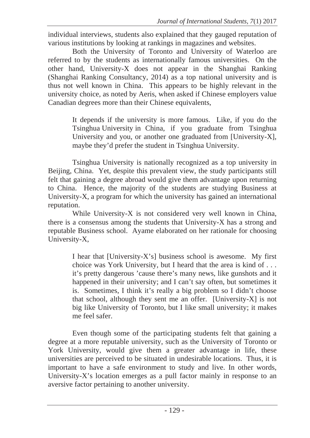individual interviews, students also explained that they gauged reputation of various institutions by looking at rankings in magazines and websites.

Both the University of Toronto and University of Waterloo are referred to by the students as internationally famous universities. On the other hand, University-X does not appear in the Shanghai Ranking (Shanghai Ranking Consultancy, 2014) as a top national university and is thus not well known in China. This appears to be highly relevant in the university choice, as noted by Aeris, when asked if Chinese employers value Canadian degrees more than their Chinese equivalents,

> It depends if the university is more famous. Like, if you do the Tsinghua University in China, if you graduate from Tsinghua University and you, or another one graduated from [University-X], maybe they'd prefer the student in Tsinghua University.

Tsinghua University is nationally recognized as a top university in Beijing, China. Yet, despite this prevalent view, the study participants still felt that gaining a degree abroad would give them advantage upon returning to China. Hence, the majority of the students are studying Business at University-X, a program for which the university has gained an international reputation.

While University-X is not considered very well known in China, there is a consensus among the students that University-X has a strong and reputable Business school. Ayame elaborated on her rationale for choosing University-X,

> I hear that [University-X's] business school is awesome. My first choice was York University, but I heard that the area is kind of . . . it's pretty dangerous 'cause there's many news, like gunshots and it happened in their university; and I can't say often, but sometimes it is. Sometimes, I think it's really a big problem so I didn't choose that school, although they sent me an offer. [University-X] is not big like University of Toronto, but I like small university; it makes me feel safer.

Even though some of the participating students felt that gaining a degree at a more reputable university, such as the University of Toronto or York University, would give them a greater advantage in life, these universities are perceived to be situated in undesirable locations. Thus, it is important to have a safe environment to study and live. In other words, University-X's location emerges as a pull factor mainly in response to an aversive factor pertaining to another university.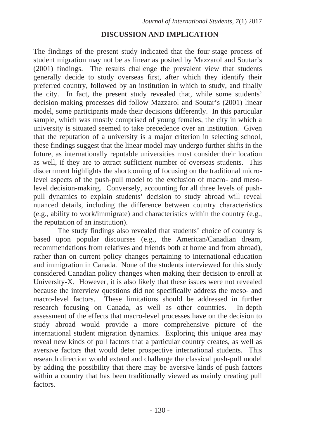### **DISCUSSION AND IMPLICATION**

The findings of the present study indicated that the four-stage process of student migration may not be as linear as posited by Mazzarol and Soutar's (2001) findings. The results challenge the prevalent view that students generally decide to study overseas first, after which they identify their preferred country, followed by an institution in which to study, and finally the city. In fact, the present study revealed that, while some students' decision-making processes did follow Mazzarol and Soutar's (2001) linear model, some participants made their decisions differently. In this particular sample, which was mostly comprised of young females, the city in which a university is situated seemed to take precedence over an institution. Given that the reputation of a university is a major criterion in selecting school, these findings suggest that the linear model may undergo further shifts in the future, as internationally reputable universities must consider their location as well, if they are to attract sufficient number of overseas students. This discernment highlights the shortcoming of focusing on the traditional microlevel aspects of the push-pull model to the exclusion of macro- and mesolevel decision-making. Conversely, accounting for all three levels of pushpull dynamics to explain students' decision to study abroad will reveal nuanced details, including the difference between country characteristics (e.g., ability to work/immigrate) and characteristics within the country (e.g., the reputation of an institution).

The study findings also revealed that students' choice of country is based upon popular discourses (e.g., the American/Canadian dream, recommendations from relatives and friends both at home and from abroad), rather than on current policy changes pertaining to international education and immigration in Canada. None of the students interviewed for this study considered Canadian policy changes when making their decision to enroll at University-X. However, it is also likely that these issues were not revealed because the interview questions did not specifically address the meso- and macro-level factors. These limitations should be addressed in further research focusing on Canada, as well as other countries. In-depth assessment of the effects that macro-level processes have on the decision to study abroad would provide a more comprehensive picture of the international student migration dynamics. Exploring this unique area may reveal new kinds of pull factors that a particular country creates, as well as aversive factors that would deter prospective international students. This research direction would extend and challenge the classical push-pull model by adding the possibility that there may be aversive kinds of push factors within a country that has been traditionally viewed as mainly creating pull factors.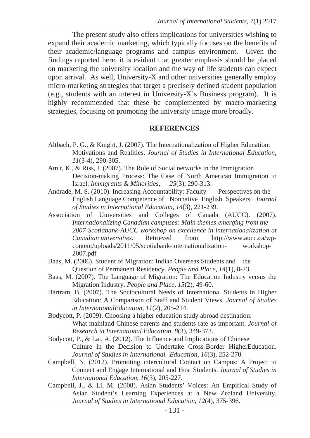The present study also offers implications for universities wishing to expand their academic marketing, which typically focuses on the benefits of their academic/language programs and campus environment. Given the findings reported here, it is evident that greater emphasis should be placed on marketing the university location and the way of life students can expect upon arrival. As well, University-X and other universities generally employ micro-marketing strategies that target a precisely defined student population (e.g., students with an interest in University-X's Business program). It is highly recommended that these be complemented by macro-marketing strategies, focusing on promoting the university image more broadly.

#### **REFERENCES**

- Altbach, P. G., & Knight, J. (2007). The Internationalization of Higher Education: Motivations and Realities. *Journal of Studies in International Education, 11*(3-4)*,* 290-305.
- Amit, K., & Riss, I. (2007). The Role of Social networks in the Immigration Decision-making Process: The Case of North American Immigration to Israel. *Immigrants & Minorities, 25*(3), 290-313.
- Andrade, M. S. (2010). Increasing Accountability: Faculty Perspectives on the English Language Competence of Nonnative English Speakers. *Journal of Studies in International Education, 14*(3), 221-239.
- Association of Universities and Colleges of Canada (AUCC). (2007). *Internationalizing Canadian campuses: Main themes emerging from the 2007 Scotiabank-AUCC workshop on excellence in internationalization at Canadian universities*. Retrieved from http://www.aucc.ca/wpcontent/uploads/2011/05/scotiabank-internationalization- workshop-2007.pdf
- Baas, M. (2006). Student of Migration: Indian Overseas Students and the Question of Permanent Residency. *People and Place, 14*(1), 8-23.
- Baas, M. (2007). The Language of Migration: The Education Industry versus the Migration Industry. *People and Place, 15*(2), 49-60.
- Bartram, B. (2007). The Sociocultural Needs of International Students in Higher Education: A Comparison of Staff and Student Views. *Journal of Studies in InternationalEducation, 11*(2), 205-214.
- Bodycott, P. (2009). Choosing a higher education study abroad destination: What mainland Chinese parents and students rate as important. *Journal of Research in International Education, 8*(3), 349-373.
- Bodycott, P., & Lai, A. (2012). The Influence and Implications of Chinese Culture in the Decision to Undertake Cross-Border HigherEducation. *Journal of Studies in International Education, 16*(3), 252-270.
- Campbell, N. (2012). Promoting intercultural Contact on Campus: A Project to Connect and Engage International and Host Students. *Journal of Studies in International Education, 16*(3), 205-227.
- Campbell, J., & Li, M. (2008). Asian Students' Voices: An Empirical Study of Asian Student's Learning Experiences at a New Zealand University. *Journal of Studies in International Education, 12*(4), 375-396.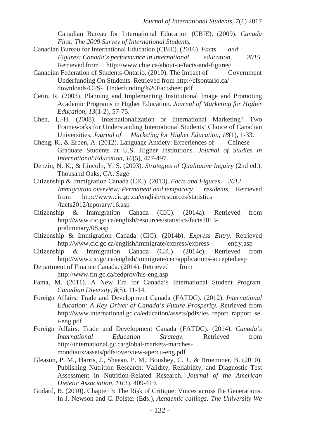Canadian Bureau for International Education (CBIE). (2009). *Canada First: The 2009 Survey of International Students.* 

- Canadian Bureau for International Education (CBIE). (2016). *Facts and Figures: Canada's performance in international education, 2015*. Retrieved from http://www.cbie.ca/about-ie/facts-and-figures/
- Canadian Federation of Students-Ontario. (2010). The Impact of Government Underfunding On Students. Retrieved from http://cfsontario.ca/ downloads/CFS- Underfunding%20Factsheet.pdf
- उetin, R. (2003). Planning and Implementing Institutional Image and Promoting Academic Programs in Higher Education. *Journal of Marketing for Higher Education, 13*(1-2), 57-75.
- Chen, L.-H. (2008). Internationalization or International Marketing? Two Frameworks for Understanding International Students' Choice of Canadian Universities. *Journal of Marketing for Higher Education, 18*(1), 1-33.
- Cheng, R., & Erben, A. (2012). Language Anxiety: Experiences of Chinese Graduate Students at U.S. Higher Institutions. *Journal of Studies in International Education, 16*(5), 477-497.
- Denzin, N. K., & Lincoln, Y. S. (2003). *Strategies of Qualitative Inquiry* (2nd ed.). Thousand Oaks, CA: Sage
- Citizenship & Immigration Canada (CIC). (2013). *Facts and Figures 2012 Immigration overview: Permanent and temporary residents*. Retrieved from http://www.cic.gc.ca/english/resources/statistics /facts2012/teporary/16.asp
- Citizenship & Immigration Canada (CIC). (2014a). Retrieved from http://www.cic.gc.ca/english/resources/statistics/facts2013 preliminary/08.asp
- Citizenship & Immigration Canada (CIC). (2014b). *Express Entry*. Retrieved http://www.cic.gc.ca/english/immigrate/express/express- entry.asp
- Citizenship & Immigration Canada (CIC). (2014c). Retrieved from http://www.cic.gc.ca/english/immigrate/cec/applications-accepted.asp
- Department of Finance Canada. (2014). Retrieved from http://www.fin.gc.ca/fedprov/his-eng.asp
- Fama, M. (2011). A New Era for Canada's International Student Program. *Canadian Diversity, 8*(5), 11-14.
- Foreign Affairs, Trade and Development Canada (FATDC). (2012). *International Education: A Key Driver of Canada's Future Prosperity.* Retrieved from http://www.international.gc.ca/education/assets/pdfs/ies\_report\_rapport\_se i-eng.pdf
- Foreign Affairs, Trade and Development Canada (FATDC). (2014). *Canada's International Education Strategy.* Retrieved from http://international.gc.ca/global-markets-marchesmondiaux/assets/pdfs/overview-apercu-eng.pdf
- Gleason, P. M., Harris, J., Sheean, P. M., Boushey, C. J., & Bruemmer, B. (2010). Publishing Nutrition Research: Validity, Reliability, and Diagnostic Test Assessment in Nutrition-Related Research. *Journal of the American Dietetic Association, 11*(3), 409-419.
- Godard, B. (2010). Chapter 3: The Risk of Critique: Voices across the Generations. In J. Newson and C. Polster (Eds.), *Academic callings: The University We*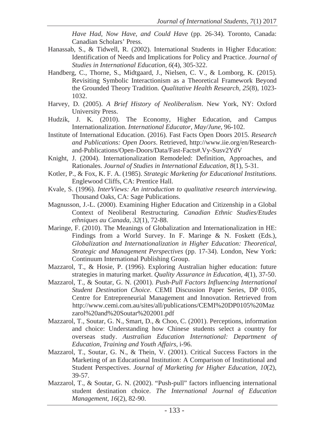*Have Had, Now Have, and Could Have* (pp. 26-34). Toronto, Canada: Canadian Scholars' Press.

- Hanassab, S., & Tidwell, R. (2002). International Students in Higher Education: Identification of Needs and Implications for Policy and Practice. *Journal of Studies in International Education, 6*(4), 305-322.
- Handberg, C., Thorne, S., Midtgaard, J., Nielsen, C. V., & Lomborg, K. (2015). Revisiting Symbolic Interactionism as a Theoretical Framework Beyond the Grounded Theory Tradition. *Qualitative Health Research, 25*(8), 1023- 1032.
- Harvey, D. (2005). *A Brief History of Neoliberalism*. New York, NY: Oxford University Press.
- Hudzik, J. K. (2010). The Economy, Higher Education, and Campus Internationalization. *International Educator, May/June,* 96-102.
- Institute of International Education. (2016). Fast Facts Open Doors 2015. *Research and Publications: Open Doors*. Retrieved, http://www.iie.org/en/Researchand-Publications/Open-Doors/Data/Fast-Facts#.Vy-Susv2YdV
- Knight, J. (2004). Internationalization Remodeled: Definition, Approaches, and Rationales. *Journal of Studies in International Education, 8*(1), 5-31.
- Kotler, P., & Fox, K. F. A. (1985). *Strategic Marketing for Educational Institutions*. Englewood Cliffs, CA: Prentice Hall.
- Kvale, S. (1996). *InterViews: An introduction to qualitative research interviewing*. Thousand Oaks, CA: Sage Publications.
- Magnusson, J.-L. (2000). Examining Higher Education and Citizenship in a Global Context of Neoliberal Restructuring. *Canadian Ethnic Studies/Etudes ethniques au Canada, 32*(1), 72-88.
- Maringe, F. (2010). The Meanings of Globalization and Internationalization in HE: Findings from a World Survey. In F. Maringe & N. Foskett (Eds.), *Globalization and Internationalization in Higher Education: Theoretical, Strategic and Management Perspectives* (pp. 17-34). London, New York: Continuum International Publishing Group.
- Mazzarol, T., & Hosie, P. (1996). Exploring Australian higher education: future strategies in maturing market. *Quality Assurance in Education, 4*(1), 37-50.
- Mazzarol, T., & Soutar, G. N. (2001). *Push-Pull Factors Influencing International Student Destination Choice*. CEMI Discussion Paper Series, DP 0105, Centre for Entrepreneurial Management and Innovation. Retrieved from http://www.cemi.com.au/sites/all/publications/CEMI%20DP0105%20Maz zarol%20and%20Soutar%202001.pdf
- Mazzarol, T., Soutar, G. N., Smart, D., & Choo, C. (2001). Perceptions, information and choice: Understanding how Chinese students select a country for overseas study. *Australian Education International: Department of Education, Training and Youth Affairs,* i-96.
- Mazzarol, T., Soutar, G. N., & Thein, V. (2001). Critical Success Factors in the Marketing of an Educational Institution: A Comparison of Institutional and Student Perspectives. *Journal of Marketing for Higher Education, 10*(2), 39-57.
- Mazzarol, T., & Soutar, G. N. (2002). "Push-pull" factors influencing international student destination choice. *The International Journal of Education Management, 16*(2), 82-90.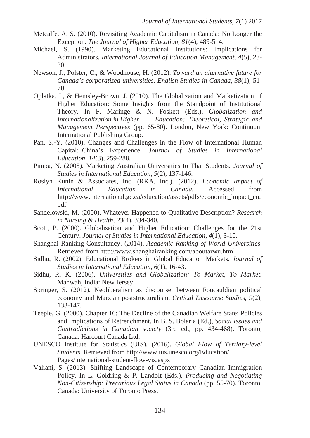- Metcalfe, A. S. (2010). Revisiting Academic Capitalism in Canada: No Longer the Exception. *The Journal of Higher Education, 81*(4), 489-514.
- Michael, S. (1990). Marketing Educational Institutions: Implications for Administrators. *International Journal of Education Management, 4*(5), 23- 30.
- Newson, J., Polster, C., & Woodhouse, H. (2012). *Toward an alternative future for Canada's corporatized universities. English Studies in Canada, 38*(1), 51- 70.
- Oplatka, I., & Hemsley-Brown, J. (2010). The Globalization and Marketization of Higher Education: Some Insights from the Standpoint of Institutional Theory. In F. Maringe & N. Foskett (Eds.), *Globalization and Internationalization in Higher Education: Theoretical, Strategic and Management Perspectives* (pp. 65-80). London, New York: Continuum International Publishing Group.
- Pan, S.-Y. (2010). Changes and Challenges in the Flow of International Human Capital: China's Experience. *Journal of Studies in International Education, 14*(3), 259-288.
- Pimpa, N. (2005). Marketing Australian Universities to Thai Students. *Journal of Studies in International Education, 9*(2), 137-146.
- Roslyn Kunin & Associates, Inc. (RKA, Inc.). (2012). *Economic Impact of International Education in Canada.* Accessed from http://www.international.gc.ca/education/assets/pdfs/economic\_impact\_en. pdf
- Sandelowski, M. (2000). Whatever Happened to Qualitative Description? *Research in Nursing & Health, 23*(4), 334-340.
- Scott, P. (2000). Globalisation and Higher Education: Challenges for the 21st Century. *Journal of Studies in International Education, 4*(1), 3-10.
- Shanghai Ranking Consultancy. (2014). *Academic Ranking of World Universities*. Retrieved from http://www.shanghairanking.com/aboutarwu.html
- Sidhu, R. (2002). Educational Brokers in Global Education Markets. *Journal of Studies in International Education, 6*(1), 16-43.
- Sidhu, R. K. (2006). *Universities and Globalization: To Market, To Market.*  Mahwah, India: New Jersey.
- Springer, S. (2012). Neoliberalism as discourse: between Foucauldian political economy and Marxian poststructuralism. *Critical Discourse Studies, 9*(2), 133-147.
- Teeple, G. (2000). Chapter 16: The Decline of the Canadian Welfare State: Policies and Implications of Retrenchment. In B. S. Bolaria (Ed.), *Social Issues and Contradictions in Canadian society* (3rd ed., pp. 434-468). Toronto, Canada: Harcourt Canada Ltd.
- UNESCO Institute for Statistics (UIS). (2016). *Global Flow of Tertiary-level Students.* Retrieved from http://www.uis.unesco.org/Education/ Pages/international-student-flow-viz.aspx
- Valiani, S. (2013). Shifting Landscape of Contemporary Canadian Immigration Policy. In L. Goldring & P. Landolt (Eds.), *Producing and Negotiating Non-Citizenship: Precarious Legal Status in Canada* (pp. 55-70)*.* Toronto, Canada: University of Toronto Press.